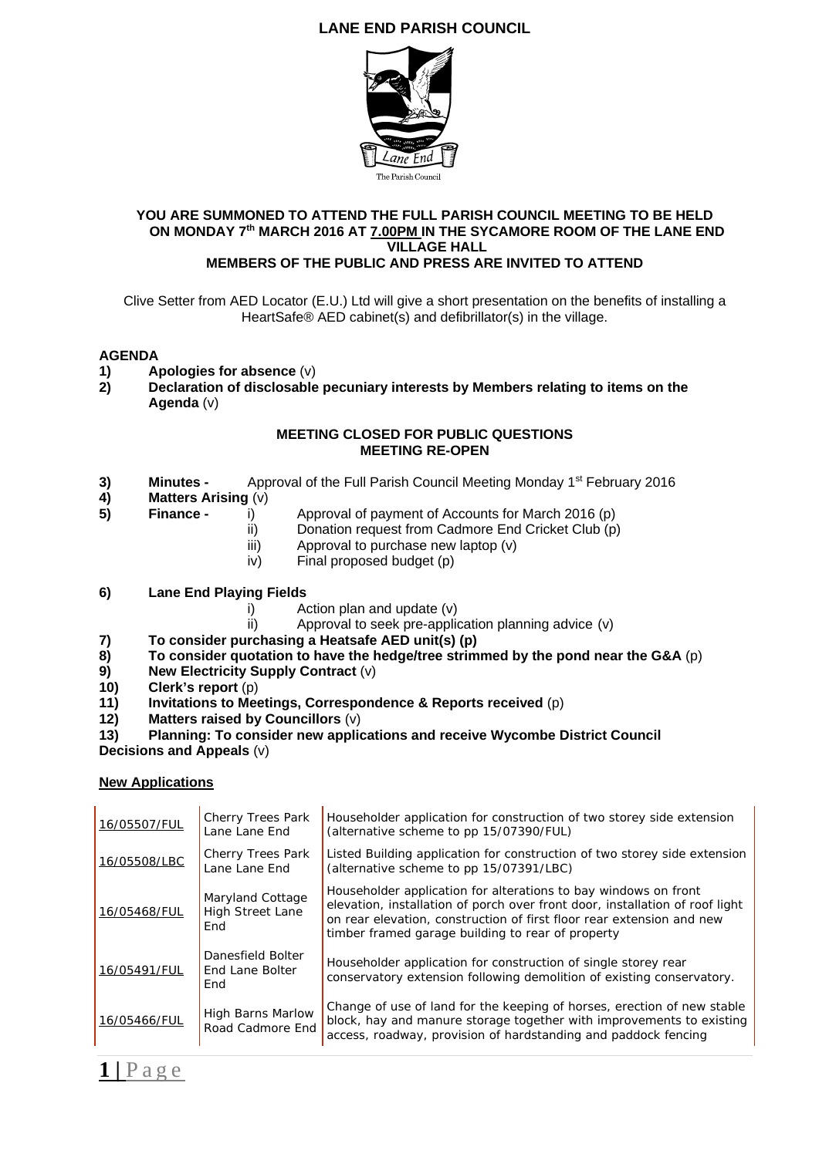# **LANE END PARISH COUNCIL**



#### **YOU ARE SUMMONED TO ATTEND THE FULL PARISH COUNCIL MEETING TO BE HELD ON MONDAY 7th MARCH 2016 AT 7.00PM IN THE SYCAMORE ROOM OF THE LANE END VILLAGE HALL MEMBERS OF THE PUBLIC AND PRESS ARE INVITED TO ATTEND**

Clive Setter from AED Locator (E.U.) Ltd will give a short presentation on the benefits of installing a HeartSafe® AED cabinet(s) and defibrillator(s) in the village.

## **AGENDA**

- **1) Apologies for absence** (v)
- **2) Declaration of disclosable pecuniary interests by Members relating to items on the Agenda** (v)

#### **MEETING CLOSED FOR PUBLIC QUESTIONS MEETING RE-OPEN**

- **3) Minutes -** Approval of the Full Parish Council Meeting Monday 1st February 2016
- **4) Matters Arising** (v)
- **5) Finance** i)Approval of payment of Accounts for March 2016 (p)
	- ii) Donation request from Cadmore End Cricket Club (p)
	- iii) Approval to purchase new laptop (v)
	- iv) Final proposed budget (p)

## **6) Lane End Playing Fields**

- i) Action plan and update (v)
- ii) Approval to seek pre-application planning advice (v)
- 
- **7) To consider purchasing a Heatsafe AED unit(s) (p) 8)** To consider quotation to have the hedge/tree strimmed by the pond near the G&A (p)<br>**9)** New Electricity Supply Contract (v)
- **New Electricity Supply Contract (v)**
- **10) Clerk's report** (p)
- **11) Invitations to Meetings, Correspondence & Reports received** (p)
- **12) Matters raised by Councillors** (v)

#### **13) Planning: To consider new applications and receive Wycombe District Council Decisions and Appeals** (v)

## **New Applications**

| 16/05507/FUL | Cherry Trees Park<br>Lane Lane End                 | Householder application for construction of two storey side extension<br>(alternative scheme to pp 15/07390/FUL)                                                                                                                                                              |
|--------------|----------------------------------------------------|-------------------------------------------------------------------------------------------------------------------------------------------------------------------------------------------------------------------------------------------------------------------------------|
| 16/05508/LBC | <b>Cherry Trees Park</b><br>Lane Lane End          | Listed Building application for construction of two storey side extension<br>(alternative scheme to pp 15/07391/LBC)                                                                                                                                                          |
| 16/05468/FUL | Maryland Cottage<br><b>High Street Lane</b><br>End | Householder application for alterations to bay windows on front<br>elevation, installation of porch over front door, installation of roof light<br>on rear elevation, construction of first floor rear extension and new<br>timber framed garage building to rear of property |
| 16/05491/FUL | Danesfield Bolter<br>End Lane Bolter<br>End        | Householder application for construction of single storey rear<br>conservatory extension following demolition of existing conservatory.                                                                                                                                       |
| 16/05466/FUL | High Barns Marlow<br>Road Cadmore End              | Change of use of land for the keeping of horses, erection of new stable<br>block, hay and manure storage together with improvements to existing<br>access, roadway, provision of hardstanding and paddock fencing                                                             |